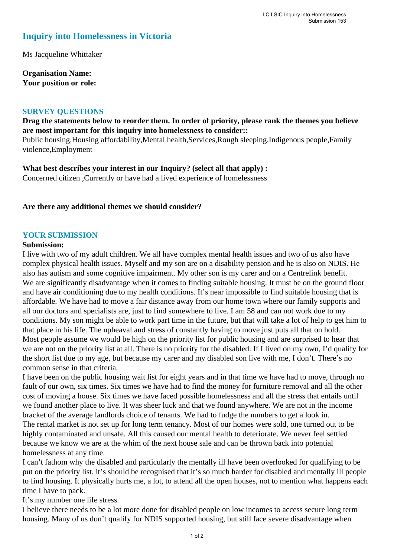# **Inquiry into Homelessness in Victoria**

Ms Jacqueline Whittaker

**Organisation Name: Your position or role:** 

#### **SURVEY QUESTIONS**

## **Drag the statements below to reorder them. In order of priority, please rank the themes you believe are most important for this inquiry into homelessness to consider::**

Public housing,Housing affordability,Mental health,Services,Rough sleeping,Indigenous people,Family violence,Employment

**What best describes your interest in our Inquiry? (select all that apply) :**  Concerned citizen ,Currently or have had a lived experience of homelessness

**Are there any additional themes we should consider?**

#### **YOUR SUBMISSION**

#### **Submission:**

I live with two of my adult children. We all have complex mental health issues and two of us also have complex physical health issues. Myself and my son are on a disability pension and he is also on NDIS. He also has autism and some cognitive impairment. My other son is my carer and on a Centrelink benefit. We are significantly disadvantage when it comes to finding suitable housing. It must be on the ground floor and have air conditioning due to my health conditions. It's near impossible to find suitable housing that is affordable. We have had to move a fair distance away from our home town where our family supports and all our doctors and specialists are, just to find somewhere to live. I am 58 and can not work due to my conditions. My son might be able to work part time in the future, but that will take a lot of help to get him to that place in his life. The upheaval and stress of constantly having to move just puts all that on hold. Most people assume we would be high on the priority list for public housing and are surprised to hear that we are not on the priority list at all. There is no priority for the disabled. If I lived on my own, I'd qualify for the short list due to my age, but because my carer and my disabled son live with me, I don't. There's no common sense in that criteria.

I have been on the public housing wait list for eight years and in that time we have had to move, through no fault of our own, six times. Six times we have had to find the money for furniture removal and all the other cost of moving a house. Six times we have faced possible homelessness and all the stress that entails until we found another place to live. It was sheer luck and that we found anywhere. We are not in the income bracket of the average landlords choice of tenants. We had to fudge the numbers to get a look in. The rental market is not set up for long term tenancy. Most of our homes were sold, one turned out to be highly contaminated and unsafe. All this caused our mental health to deteriorate. We never feel settled because we know we are at the whim of the next house sale and can be thrown back into potential homelessness at any time.

I can't fathom why the disabled and particularly the mentally ill have been overlooked for qualifying to be put on the priority list. it's should be recognised that it's so much harder for disabled and mentally ill people to find housing. It physically hurts me, a lot, to attend all the open houses, not to mention what happens each time I have to pack.

It's my number one life stress.

I believe there needs to be a lot more done for disabled people on low incomes to access secure long term housing. Many of us don't qualify for NDIS supported housing, but still face severe disadvantage when